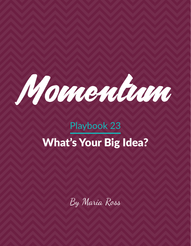

# Playbook 23 What's Your Big Idea?

By Maria Ross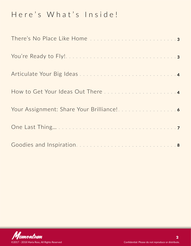# Here's What's Inside!

| There's No Place Like Home 3 |  |
|------------------------------|--|
|                              |  |
|                              |  |
|                              |  |
|                              |  |
|                              |  |
|                              |  |

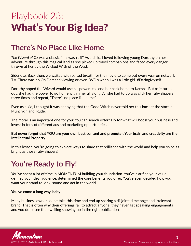# <span id="page-2-0"></span>Playbook 23: What's Your Big Idea?

### **There's No Place Like Home**

*The Wizard of Oz* was a classic film, wasn't it? As a child, I loved following young Dorothy on her adventure through this magical land as she picked up travel companions and faced every danger thrown at her by the Wicked With of the West.

Sidenote: Back then, we waited with baited breath for the movie to come out every year on network T.V. There was no On Demand viewing or even DVD's when I was a little girl. #DatingMyself

Dorothy hoped the Wizard would use his powers to send her back home to Kansas. But as it turned out, she had the power to go home within her all along. All she had to do was click her ruby slippers three times and repeat, "There's no place like home."

Even as a kid, I thought it was annoying that the Good Witch never told her this back at the start in Munchkinland. Rude.

The moral is an important one for you: You can search externally for what will boost your business and invest in tons of different ads and marketing opportunities.

### **But never forget that YOU are your own best content and promoter. Your brain and creativity are the Intellectual Property.**

In this lesson, you're going to explore ways to share that brilliance with the world and help you shine as bright as those ruby slippers!

# **You're Ready to Fly!**

You've spent a lot of time in MOMENTUM building your foundation. You've clarified your value, defined your ideal audience, determined the core benefits you offer. You've even decided how you want your brand to look, sound and act in the world.

#### **You've come a long way, baby!**

Many business owners don't take this time and end up sharing a disjointed message and irrelevant brand. That is often why their offerings fail to attract anyone, they never get speaking engagements and you don't see their writing showing up in the right publications.

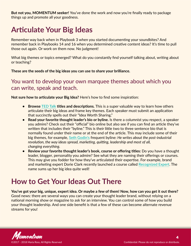<span id="page-3-0"></span>**But not you, MOMENTUM seeker!** You've done the work and now you're finally ready to package things up and promote all your goodness.

# **Articulate Your Big Ideas**

Remember way back when in Playbook 3 when you started documenting your soundbites? And remember back in Playbooks 14 and 16 when you determined creative content ideas? It's time to pull those out again. Or work on them now. No judgment!

What big themes or topics emerged? What do you constantly find yourself talking about, writing about or teaching?

**These are the seeds of the big ideas you can use to share your brilliance.** 

### You want to develop your own marquee themes about which you can write, speak and teach.

**Not sure how to articulate your Big Idea?** Here's how to find some inspiration:

- **• Browse [TED Talk](https://www.ted.com/) titles and descriptions.** This is a super valuable way to learn how others articulate their big ideas and frame key themes. Each speaker must submit an application that succinctly spells out their "Idea Worth Sharing."
- **• Read your favorite thought leader's bio or byline.** Is there a columnist you respect, a speaker you admire? Check out their "official" bio online but also see if you can find an article they've written that includes their "byline." This is their little two to three sentence bio that is normally found under their name or at the end of the article. This may include some of their big themes, for example, **[Seth Godin's](http://www.sethgodin.com/)** frequent byline: *He writes about the post-industrial revolution, the way ideas spread, marketing, quitting, leadership and most of all, changing everything.*
- **• Review your favorite thought leader's book, course or offering titles:** Do you have a thought leader, blogger, personality you admire? See what they are naming their offerings or courses. This may give you fodder for how they've articulated their expertise. For example, brand and marketing expert Dorie Clark recently launched a course called **[Recognized Expert](http://learn.dorieclark.com/courses/expert)**. The name sums up her big idea quite well!

### **How to Get Your Ideas Out There**

**You've got your big, unique, expert idea. Or maybe a few of them! Now, how can you get it out there?**  Good news: there are several ways you can create your thought leader brand, without relying on a national morning show or magazine to ask for an interview. You can control some of how you build your thought leadership. And one side benefit is that a few of these can become alternate revenue streams for you!

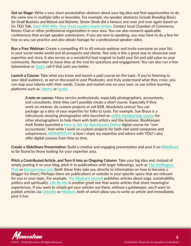**Get on Stage:** Write a very short presentation abstract about your big idea and find opportunities to do the same one in multiple talks or keynotes. For example, my speaker abstracts include *Branding Basics for Small Business and Reboot and Reframe*. Simon Sinek did a famous one over and over again based on his TED Talk, *[Start With Why: How Great Leaders Inspire Action](https://www.youtube.com/watch?v=u4ZoJKF_VuA&feature=youtu.be)*. Contact local Chamber of Commerce, Rotary Club or other professional organization in your area. You can also research applicable conferences that accept speaker submissions. If you are new to speaking, you may have to do a few for free so you can practice and also obtain footage for a professional speaker video.

**Run a Free Webinar:** Create a compelling 45 to 60 minute webinar and invite everyone on your list, in your social media world and all prospects and clients. Not only is this a great way to showcase your expertise and story, it also serves as a wonderful lead magnet to build your list and add value to your community. Remember to leave time at the end for questions and engagement. You can also run a free teleseminar or **[Zoom](http://www.zoom.us/)** call if that suits you better.

**Launch a Course:** Take what you know and launch a paid course on the topic. If you're listening to your ideal audience, as we've discussed in past Playbooks, and truly understand what they crave, you can map your talents with their needs. Create and market one on your own, or use online learning platforms such as **[Udemy](http://www.udemy.com/)** or **[Lynda](http://www.lynda.com/)**.

*A note on courses:* Many service professionals, especially photographers, accountants, and consultants, think they can't possibly create a short course. Especially if they work on retainer, do custom projects or sell B2B. Absolutely untrue! You can package up a slice of your expertise for folks to taste. For example, Sue Bryce is a ridiculously amazing photographer who launched an **[entire membership course](https://suebryceeducation.com/)** for other photographers to help them with both artistry and the business. Bookkeeper Andi Smiles launched a **[How to Set Up Quickbooks Online](http://www.bffcourse.com/)** digital course for "nonaccountants." And while I work on custom projects for both mid-sized companies and solopreneurs, **[MOMENTUM](http://www.red-slice.com/momentum)** is how I share my expertise and advice with YOU! I also offer digital courses from time to time.

**Create a SlideShare Presentation:** Build a creative and engaging presentation and post it on **[SlideShare](https://www.slideshare.net/)** to be found by those looking for your expertise area.

**Pitch a Contributed Article..and Turn It Into an Ongoing Column:** Take your big idea and, instead of simply posting it on your blog, pitch it to publications with larger followings, such as **[The Huffington](http://www.carefulcents.com/get-published-on-the-huffington-post/)  [Post](http://www.carefulcents.com/get-published-on-the-huffington-post/)** or **[Entrepreneur.com](https://www.entrepreneur.com/page/236106)** (both these links take you directly to information on how to become a blogger for them.) Perhaps there are publications or website in your specific space that are relevant for you or your topic. For example, **[The Elephant Journal](https://www.elephantjournal.com/)** publishes articles about yoga, sustainability, politics and spirituality. **[Life By Me](http://www.lifebyme.com/)** is another great one that wants articles that share meaningful experiences. If you want to simply get your articles out there, without a gatekeeper, you'll want to publish articles via **[LinkedIn](http://www.linkedin.com/)** or **[Medium](https://medium.com/)**, both of which allow you to write an article and immediately post it live.

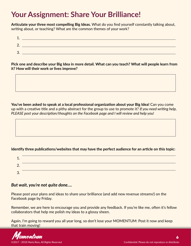### <span id="page-5-0"></span>**Your Assignment: Share Your Brilliance!**

**Articulate your three most compelling Big Ideas.** What do you find yourself constantly talking about, writing about, or teaching? What are the common themes of your work?

| л<br><u>. на с</u> |                                                                                                                 |
|--------------------|-----------------------------------------------------------------------------------------------------------------|
| ⌒<br><u>.</u>      |                                                                                                                 |
| 2<br>J.            | the contract of the contract of the contract of the contract of the contract of the contract of the contract of |

**Pick one and describe your Big Idea in more detail. What can you teach? What will people learn from it? How will their work or lives improve?**

**You've been asked to speak at a local professional organization about your Big Idea!** Can you come up with a creative title and a pithy abstract for the group to use to promote it? *If you need writing help, PLEASE post your description/thoughts on the Facebook page and I will review and help you!*

### **Identify three publications/websites that may have the perfect audience for an article on this topic:**

| ∸.              |  |
|-----------------|--|
| ⌒<br><u>.</u> . |  |
| っ<br>J.         |  |

### *But wait, you're not quite done….*

Please post your plans and ideas to share your brilliance (and add new revenue streams!) on the Facebook page by Friday.

Remember, we are here to encourage you and provide any feedback. If you're like me, often it's fellow collaborators that help me polish my ideas to a glossy sheen.

Again, I'm going to reward you all year long, so don't lose your MOMENTUM: Post it now and keep that train moving!

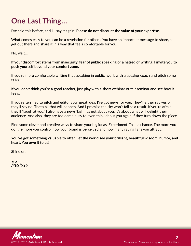# <span id="page-6-0"></span>**One Last Thing…**

I've said this before, and I'll say it again: **Please do not discount the value of your expertise.**

What comes easy to you can be a revelation for others. You have an important message to share, so get out there and share it in a way that feels comfortable for you.

No, wait…

### **If your discomfort stems from insecurity, fear of public speaking or a hatred of writing, I invite you to push yourself beyond your comfort zone.**

If you're more comfortable writing that speaking in public, work with a speaker coach and pitch some talks.

If you don't think you're a good teacher, just play with a short webinar or teleseminar and see how it feels.

If you're terrified to pitch and editor your great idea, I've got news for you: They'll either say yes or they'll say no. That's all that will happen. And I promise the sky won't fall as a result. If you're afraid they'll "laugh at you," I also have a newsflash: It's not about you, it's about what will delight their audience. And also, they are too damn busy to even think about you again if they turn down the piece.

Find some clever and creative ways to share your big ideas. Experiment. Take a chance. The more you do, the more you control how your brand is perceived and how many raving fans you attract.

**You've got something valuable to offer. Let the world see your brilliant, beautiful wisdom, humor, and heart. You owe it to us!**

Shine on,

Maria